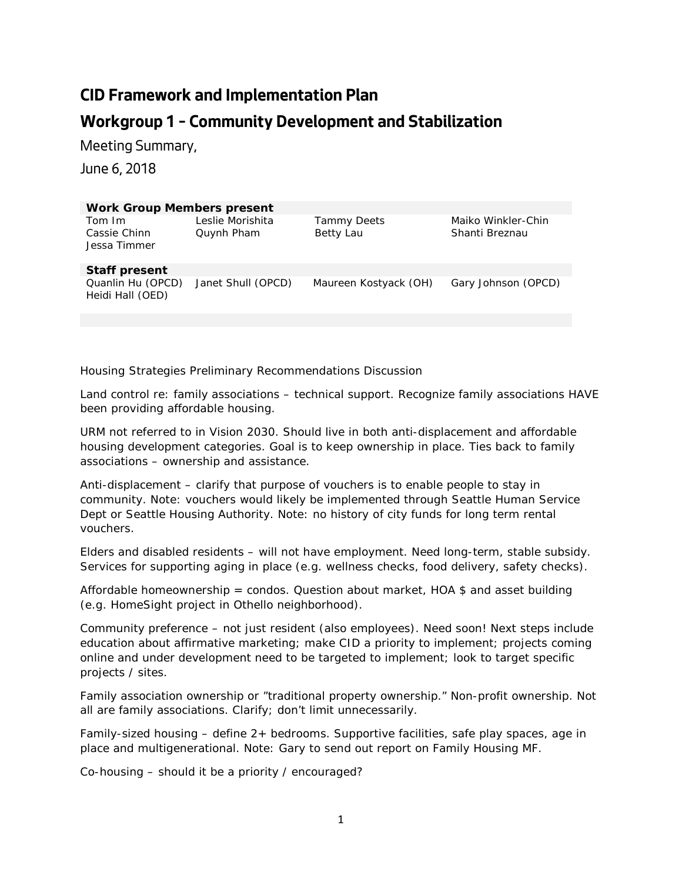## **CID Framework and Implementation Plan Workgroup 1 – Community Development and Stabilization**

Meeting Summary,

June 6, 2018

| <b>Work Group Members present</b>      |                                |                                 |                                      |
|----------------------------------------|--------------------------------|---------------------------------|--------------------------------------|
| Tom Im<br>Cassie Chinn<br>Jessa Timmer | Leslie Morishita<br>Quynh Pham | <b>Tammy Deets</b><br>Betty Lau | Maiko Winkler-Chin<br>Shanti Breznau |
| <b>Staff present</b>                   |                                |                                 |                                      |
| Quanlin Hu (OPCD)<br>Heidi Hall (OED)  | Janet Shull (OPCD)             | Maureen Kostyack (OH)           | Gary Johnson (OPCD)                  |
|                                        |                                |                                 |                                      |

## *Housing Strategies Preliminary Recommendations Discussion*

Land control re: family associations – technical support. Recognize family associations HAVE been providing affordable housing.

URM not referred to in Vision 2030. Should live in both anti-displacement and affordable housing development categories. Goal is to keep ownership in place. Ties back to family associations – ownership and assistance.

Anti-displacement – clarify that purpose of vouchers is to enable people to stay in community. Note: vouchers would likely be implemented through Seattle Human Service Dept or Seattle Housing Authority. Note: no history of city funds for long term rental vouchers.

Elders and disabled residents – will not have employment. Need long-term, stable subsidy. Services for supporting aging in place (e.g. wellness checks, food delivery, safety checks).

Affordable homeownership = condos. Question about market, HOA  $$$  and asset building (e.g. HomeSight project in Othello neighborhood).

Community preference – not just resident (also employees). Need soon! Next steps include education about affirmative marketing; make CID a priority to implement; projects coming online and under development need to be targeted to implement; look to target specific projects / sites.

Family association ownership or "traditional property ownership." Non-profit ownership. Not all are family associations. Clarify; don't limit unnecessarily.

Family-sized housing – define 2+ bedrooms. Supportive facilities, safe play spaces, age in place and multigenerational. Note: Gary to send out report on Family Housing MF.

Co-housing – should it be a priority / encouraged?